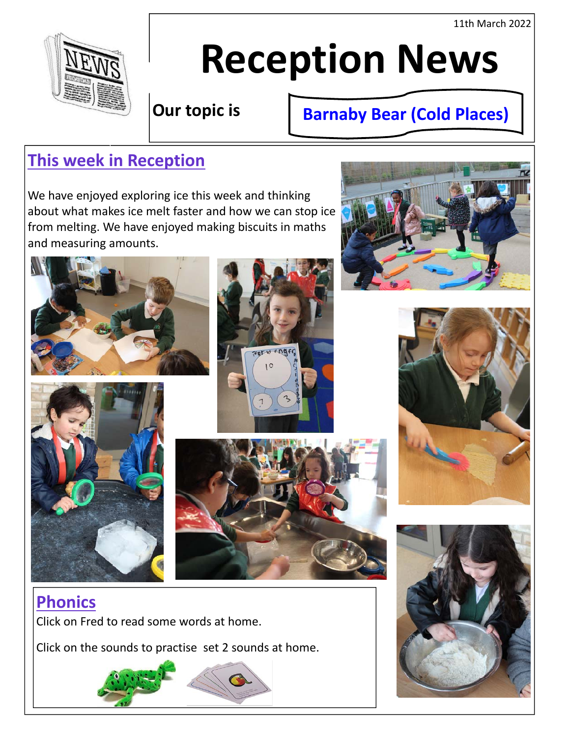11th March 2022



# **Reception News**

**Our topic is** 

# **Barnaby Bear (Cold Places)**

## **This week in Reception**

We have enjoyed exploring ice this week and thinking about what makes ice melt faster and how we can stop ice from melting. We have enjoyed making biscuits in maths and measuring amounts.













**Phonics** Click on Fred to read some words at home.

Click on the sounds to practise set 2 sounds at home.